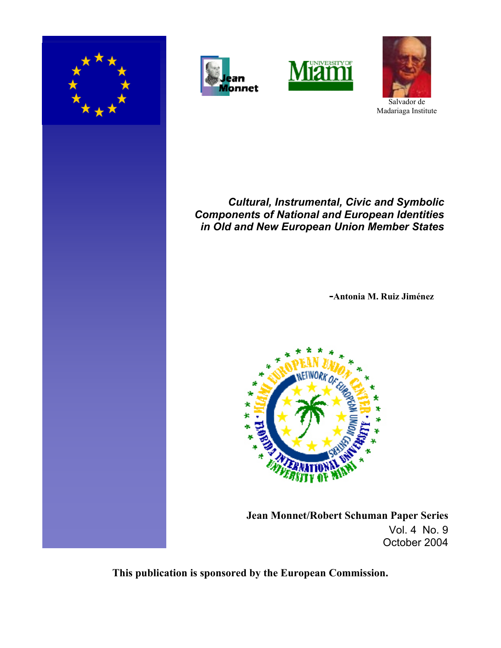







Salvador de Madariaga Institute

# *Cultural, Instrumental, Civic and Symbolic Components of National and European Identities in Old and New European Union Member States*

**-Antonia M. Ruiz Jiménez** 



 **Jean Monnet/Robert Schuman Paper Series** Vol. 4 No. 9 October 2004

**This publication is sponsored by the European Commission.**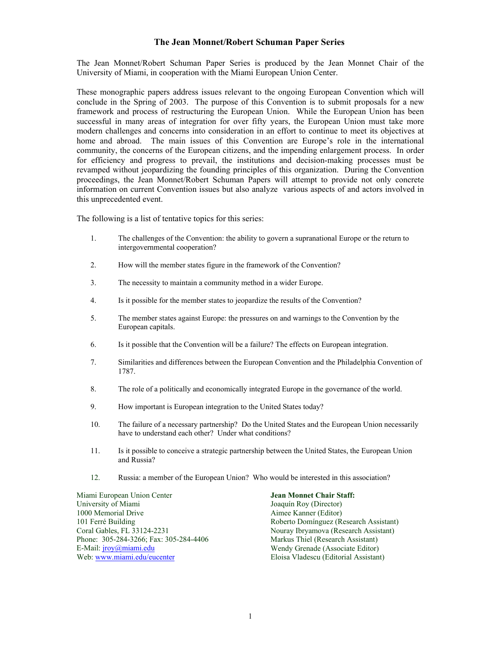## **The Jean Monnet/Robert Schuman Paper Series**

The Jean Monnet/Robert Schuman Paper Series is produced by the Jean Monnet Chair of the University of Miami, in cooperation with the Miami European Union Center.

These monographic papers address issues relevant to the ongoing European Convention which will conclude in the Spring of 2003. The purpose of this Convention is to submit proposals for a new framework and process of restructuring the European Union. While the European Union has been successful in many areas of integration for over fifty years, the European Union must take more modern challenges and concerns into consideration in an effort to continue to meet its objectives at home and abroad. The main issues of this Convention are Europe's role in the international community, the concerns of the European citizens, and the impending enlargement process. In order for efficiency and progress to prevail, the institutions and decision-making processes must be revamped without jeopardizing the founding principles of this organization. During the Convention proceedings, the Jean Monnet/Robert Schuman Papers will attempt to provide not only concrete information on current Convention issues but also analyze various aspects of and actors involved in this unprecedented event.

The following is a list of tentative topics for this series:

- 1. The challenges of the Convention: the ability to govern a supranational Europe or the return to intergovernmental cooperation?
- 2. How will the member states figure in the framework of the Convention?
- 3. The necessity to maintain a community method in a wider Europe.
- 4. Is it possible for the member states to jeopardize the results of the Convention?
- 5. The member states against Europe: the pressures on and warnings to the Convention by the European capitals.
- 6. Is it possible that the Convention will be a failure? The effects on European integration.
- 7. Similarities and differences between the European Convention and the Philadelphia Convention of 1787.
- 8. The role of a politically and economically integrated Europe in the governance of the world.
- 9. How important is European integration to the United States today?
- 10. The failure of a necessary partnership? Do the United States and the European Union necessarily have to understand each other? Under what conditions?
- 11. Is it possible to conceive a strategic partnership between the United States, the European Union and Russia?
- 12. Russia: a member of the European Union? Who would be interested in this association?

Miami European Union Center **Jean Monnet Chair Staff:**<br>
University of Miami **Joaquín Roy (Director)** 1000 Memorial Drive **Aimee Kanner (Editor)**<br>101 Ferré Building **Aimee Kanner (Editor)**<br>Roberto Domínguez (Ro Coral Gables, FL 33124-2231 Nouray Ibryamova (Research Assistant) Phone: 305-284-3266; Fax: 305-284-4406 E-Mail: jroy@miami.edu Wendy Grenade (Associate Editor) Web: www.miami.edu/eucenter Eloisa Vladescu (Editorial Assistant)

Joaquín Roy (Director) Roberto Domínguez (Research Assistant)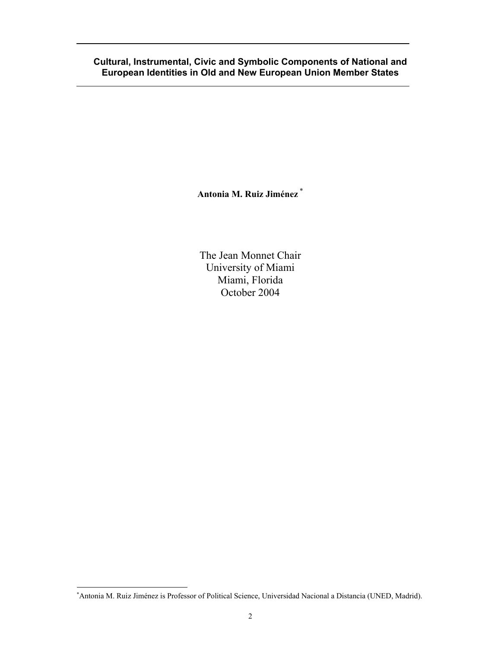# **Cultural, Instrumental, Civic and Symbolic Components of National and European Identities in Old and New European Union Member States**

**Antonia M. Ruiz Jiménez** <sup>∗</sup>

The Jean Monnet Chair University of Miami Miami, Florida October 2004

-

<sup>∗</sup> Antonia M. Ruiz Jiménez is Professor of Political Science, Universidad Nacional a Distancia (UNED, Madrid).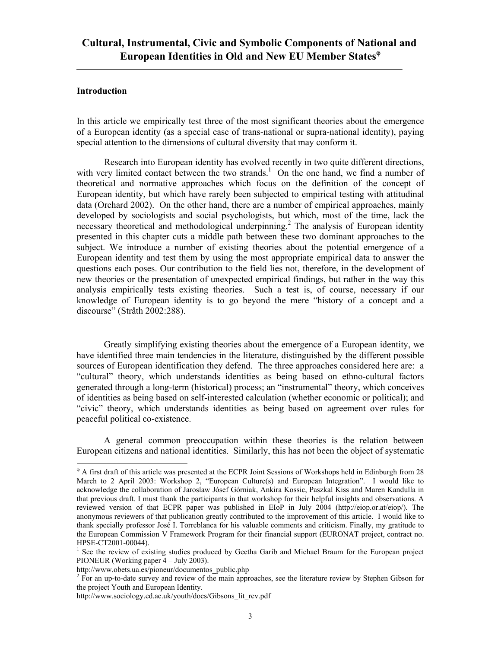## **Introduction**

-

In this article we empirically test three of the most significant theories about the emergence of a European identity (as a special case of trans-national or supra-national identity), paying special attention to the dimensions of cultural diversity that may conform it.

 Research into European identity has evolved recently in two quite different directions, with very limited contact between the two strands.<sup>1</sup> On the one hand, we find a number of theoretical and normative approaches which focus on the definition of the concept of European identity, but which have rarely been subjected to empirical testing with attitudinal data (Orchard 2002). On the other hand, there are a number of empirical approaches, mainly developed by sociologists and social psychologists, but which, most of the time, lack the necessary theoretical and methodological underpinning.<sup>2</sup> The analysis of European identity presented in this chapter cuts a middle path between these two dominant approaches to the subject. We introduce a number of existing theories about the potential emergence of a European identity and test them by using the most appropriate empirical data to answer the questions each poses. Our contribution to the field lies not, therefore, in the development of new theories or the presentation of unexpected empirical findings, but rather in the way this analysis empirically tests existing theories. Such a test is, of course, necessary if our knowledge of European identity is to go beyond the mere "history of a concept and a discourse" (Stråth 2002:288).

Greatly simplifying existing theories about the emergence of a European identity, we have identified three main tendencies in the literature, distinguished by the different possible sources of European identification they defend. The three approaches considered here are: a "cultural" theory, which understands identities as being based on ethno-cultural factors generated through a long-term (historical) process; an "instrumental" theory, which conceives of identities as being based on self-interested calculation (whether economic or political); and "civic" theory, which understands identities as being based on agreement over rules for peaceful political co-existence.

A general common preoccupation within these theories is the relation between European citizens and national identities. Similarly, this has not been the object of systematic

ϕ A first draft of this article was presented at the ECPR Joint Sessions of Workshops held in Edinburgh from 28 March to 2 April 2003: Workshop 2, "European Culture(s) and European Integration". I would like to acknowledge the collaboration of Jaroslaw Jósef Górniak, Ankira Kossic, Paszkal Kiss and Maren Kandulla in that previous draft. I must thank the participants in that workshop for their helpful insights and observations. A reviewed version of that ECPR paper was published in EIoP in July 2004 (http://eiop.or.at/eiop/). The anonymous reviewers of that publication greatly contributed to the improvement of this article. I would like to thank specially professor José I. Torreblanca for his valuable comments and criticism. Finally, my gratitude to the European Commission V Framework Program for their financial support (EURONAT project, contract no. HPSE-CT2001-00044).

<sup>&</sup>lt;sup>1</sup> See the review of existing studies produced by Geetha Garib and Michael Braum for the European project PIONEUR (Working paper 4 – July 2003).

http://www.obets.ua.es/pioneur/documentos\_public.php

 $2 \text{ For an up-to-date survey and review of the main approaches, see the literature review by Stephen Gibson for }$ the project Youth and European Identity.

http://www.sociology.ed.ac.uk/youth/docs/Gibsons\_lit\_rev.pdf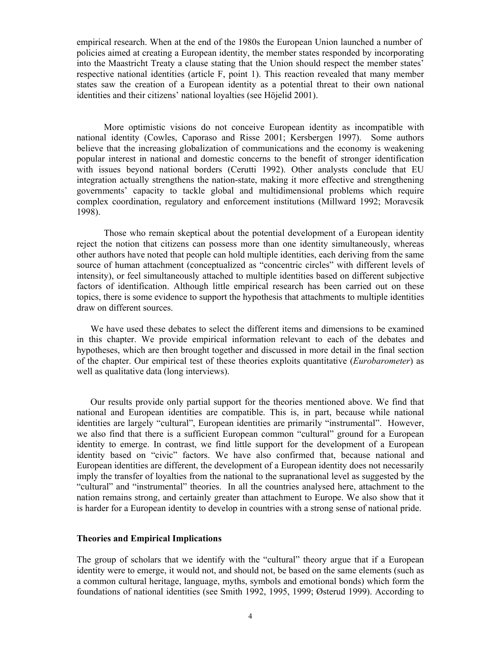empirical research. When at the end of the 1980s the European Union launched a number of policies aimed at creating a European identity, the member states responded by incorporating into the Maastricht Treaty a clause stating that the Union should respect the member states' respective national identities (article F, point 1). This reaction revealed that many member states saw the creation of a European identity as a potential threat to their own national identities and their citizens' national loyalties (see Höjelid 2001).

More optimistic visions do not conceive European identity as incompatible with national identity (Cowles, Caporaso and Risse 2001; Kersbergen 1997). Some authors believe that the increasing globalization of communications and the economy is weakening popular interest in national and domestic concerns to the benefit of stronger identification with issues beyond national borders (Cerutti 1992). Other analysts conclude that EU integration actually strengthens the nation-state, making it more effective and strengthening governments' capacity to tackle global and multidimensional problems which require complex coordination, regulatory and enforcement institutions (Millward 1992; Moravcsik 1998).

Those who remain skeptical about the potential development of a European identity reject the notion that citizens can possess more than one identity simultaneously, whereas other authors have noted that people can hold multiple identities, each deriving from the same source of human attachment (conceptualized as "concentric circles" with different levels of intensity), or feel simultaneously attached to multiple identities based on different subjective factors of identification. Although little empirical research has been carried out on these topics, there is some evidence to support the hypothesis that attachments to multiple identities draw on different sources.

We have used these debates to select the different items and dimensions to be examined in this chapter. We provide empirical information relevant to each of the debates and hypotheses, which are then brought together and discussed in more detail in the final section of the chapter. Our empirical test of these theories exploits quantitative (*Eurobarometer*) as well as qualitative data (long interviews).

Our results provide only partial support for the theories mentioned above. We find that national and European identities are compatible. This is, in part, because while national identities are largely "cultural", European identities are primarily "instrumental". However, we also find that there is a sufficient European common "cultural" ground for a European identity to emerge. In contrast, we find little support for the development of a European identity based on "civic" factors. We have also confirmed that, because national and European identities are different, the development of a European identity does not necessarily imply the transfer of loyalties from the national to the supranational level as suggested by the "cultural" and "instrumental" theories. In all the countries analysed here, attachment to the nation remains strong, and certainly greater than attachment to Europe. We also show that it is harder for a European identity to develop in countries with a strong sense of national pride.

#### **Theories and Empirical Implications**

The group of scholars that we identify with the "cultural" theory argue that if a European identity were to emerge, it would not, and should not, be based on the same elements (such as a common cultural heritage, language, myths, symbols and emotional bonds) which form the foundations of national identities (see Smith 1992, 1995, 1999; Østerud 1999). According to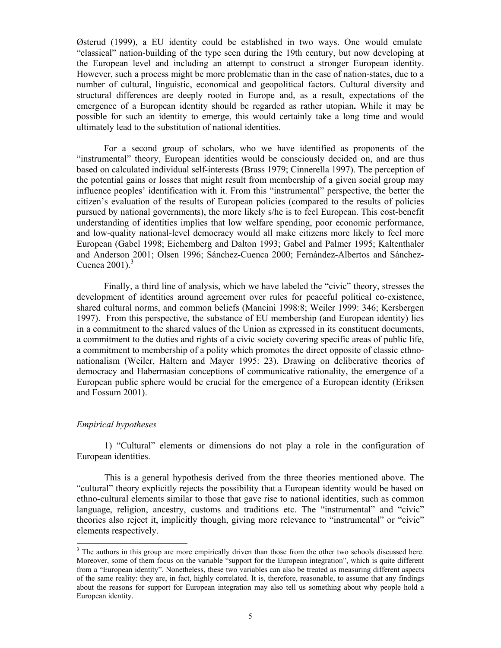Østerud (1999), a EU identity could be established in two ways. One would emulate "classical" nation-building of the type seen during the 19th century, but now developing at the European level and including an attempt to construct a stronger European identity. However, such a process might be more problematic than in the case of nation-states, due to a number of cultural, linguistic, economical and geopolitical factors. Cultural diversity and structural differences are deeply rooted in Europe and, as a result, expectations of the emergence of a European identity should be regarded as rather utopian**.** While it may be possible for such an identity to emerge, this would certainly take a long time and would ultimately lead to the substitution of national identities.

For a second group of scholars, who we have identified as proponents of the "instrumental" theory, European identities would be consciously decided on, and are thus based on calculated individual self-interests (Brass 1979; Cinnerella 1997). The perception of the potential gains or losses that might result from membership of a given social group may influence peoples' identification with it. From this "instrumental" perspective, the better the citizen's evaluation of the results of European policies (compared to the results of policies pursued by national governments), the more likely s/he is to feel European. This cost-benefit understanding of identities implies that low welfare spending, poor economic performance, and low-quality national-level democracy would all make citizens more likely to feel more European (Gabel 1998; Eichemberg and Dalton 1993; Gabel and Palmer 1995; Kaltenthaler and Anderson 2001; Olsen 1996; Sánchez-Cuenca 2000; Fernández-Albertos and Sánchez-Cuenca  $2001$ ).<sup>3</sup>

Finally, a third line of analysis, which we have labeled the "civic" theory, stresses the development of identities around agreement over rules for peaceful political co-existence, shared cultural norms, and common beliefs (Mancini 1998:8; Weiler 1999: 346; Kersbergen 1997). From this perspective, the substance of EU membership (and European identity) lies in a commitment to the shared values of the Union as expressed in its constituent documents, a commitment to the duties and rights of a civic society covering specific areas of public life, a commitment to membership of a polity which promotes the direct opposite of classic ethnonationalism (Weiler, Haltern and Mayer 1995: 23). Drawing on deliberative theories of democracy and Habermasian conceptions of communicative rationality, the emergence of a European public sphere would be crucial for the emergence of a European identity (Eriksen and Fossum 2001).

## *Empirical hypotheses*

-

 1) "Cultural" elements or dimensions do not play a role in the configuration of European identities.

 This is a general hypothesis derived from the three theories mentioned above. The "cultural" theory explicitly rejects the possibility that a European identity would be based on ethno-cultural elements similar to those that gave rise to national identities, such as common language, religion, ancestry, customs and traditions etc. The "instrumental" and "civic" theories also reject it, implicitly though, giving more relevance to "instrumental" or "civic" elements respectively.

<sup>&</sup>lt;sup>3</sup> The authors in this group are more empirically driven than those from the other two schools discussed here. Moreover, some of them focus on the variable "support for the European integration", which is quite different from a "European identity". Nonetheless, these two variables can also be treated as measuring different aspects of the same reality: they are, in fact, highly correlated. It is, therefore, reasonable, to assume that any findings about the reasons for support for European integration may also tell us something about why people hold a European identity.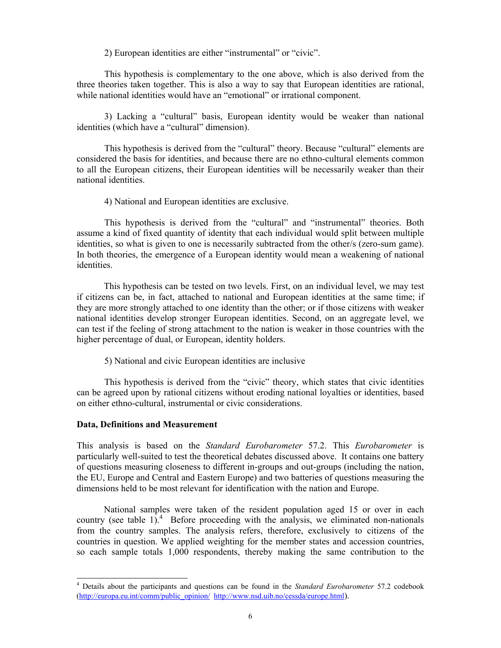2) European identities are either "instrumental" or "civic".

 This hypothesis is complementary to the one above, which is also derived from the three theories taken together. This is also a way to say that European identities are rational, while national identities would have an "emotional" or irrational component.

 3) Lacking a "cultural" basis, European identity would be weaker than national identities (which have a "cultural" dimension).

 This hypothesis is derived from the "cultural" theory. Because "cultural" elements are considered the basis for identities, and because there are no ethno-cultural elements common to all the European citizens, their European identities will be necessarily weaker than their national identities.

4) National and European identities are exclusive.

 This hypothesis is derived from the "cultural" and "instrumental" theories. Both assume a kind of fixed quantity of identity that each individual would split between multiple identities, so what is given to one is necessarily subtracted from the other/s (zero-sum game). In both theories, the emergence of a European identity would mean a weakening of national identities.

This hypothesis can be tested on two levels. First, on an individual level, we may test if citizens can be, in fact, attached to national and European identities at the same time; if they are more strongly attached to one identity than the other; or if those citizens with weaker national identities develop stronger European identities. Second, on an aggregate level, we can test if the feeling of strong attachment to the nation is weaker in those countries with the higher percentage of dual, or European, identity holders.

5) National and civic European identities are inclusive

 This hypothesis is derived from the "civic" theory, which states that civic identities can be agreed upon by rational citizens without eroding national loyalties or identities, based on either ethno-cultural, instrumental or civic considerations.

## **Data, Definitions and Measurement**

-

This analysis is based on the *Standard Eurobarometer* 57.2. This *Eurobarometer* is particularly well-suited to test the theoretical debates discussed above. It contains one battery of questions measuring closeness to different in-groups and out-groups (including the nation, the EU, Europe and Central and Eastern Europe) and two batteries of questions measuring the dimensions held to be most relevant for identification with the nation and Europe.

National samples were taken of the resident population aged 15 or over in each country (see table 1).<sup>4</sup> Before proceeding with the analysis, we eliminated non-nationals from the country samples. The analysis refers, therefore, exclusively to citizens of the countries in question. We applied weighting for the member states and accession countries, so each sample totals 1,000 respondents, thereby making the same contribution to the

<sup>4</sup> Details about the participants and questions can be found in the *Standard Eurobarometer* 57.2 codebook (http://europa.eu.int/comm/public\_opinion/ http://www.nsd.uib.no/cessda/europe.html).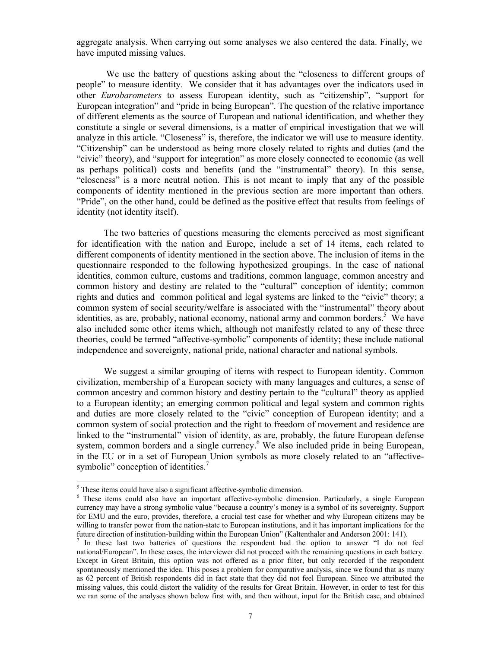aggregate analysis. When carrying out some analyses we also centered the data. Finally, we have imputed missing values.

 We use the battery of questions asking about the "closeness to different groups of people" to measure identity. We consider that it has advantages over the indicators used in other *Eurobarometers* to assess European identity, such as "citizenship", "support for European integration" and "pride in being European". The question of the relative importance of different elements as the source of European and national identification, and whether they constitute a single or several dimensions, is a matter of empirical investigation that we will analyze in this article. "Closeness" is, therefore, the indicator we will use to measure identity. "Citizenship" can be understood as being more closely related to rights and duties (and the "civic" theory), and "support for integration" as more closely connected to economic (as well as perhaps political) costs and benefits (and the "instrumental" theory). In this sense, "closeness" is a more neutral notion. This is not meant to imply that any of the possible components of identity mentioned in the previous section are more important than others. "Pride", on the other hand, could be defined as the positive effect that results from feelings of identity (not identity itself).

The two batteries of questions measuring the elements perceived as most significant for identification with the nation and Europe, include a set of 14 items, each related to different components of identity mentioned in the section above. The inclusion of items in the questionnaire responded to the following hypothesized groupings. In the case of national identities, common culture, customs and traditions, common language, common ancestry and common history and destiny are related to the "cultural" conception of identity; common rights and duties and common political and legal systems are linked to the "civic" theory; a common system of social security/welfare is associated with the "instrumental" theory about identities, as are, probably, national economy, national army and common borders.<sup>5</sup> We have also included some other items which, although not manifestly related to any of these three theories, could be termed "affective-symbolic" components of identity; these include national independence and sovereignty, national pride, national character and national symbols.

We suggest a similar grouping of items with respect to European identity. Common civilization, membership of a European society with many languages and cultures, a sense of common ancestry and common history and destiny pertain to the "cultural" theory as applied to a European identity; an emerging common political and legal system and common rights and duties are more closely related to the "civic" conception of European identity; and a common system of social protection and the right to freedom of movement and residence are linked to the "instrumental" vision of identity, as are, probably, the future European defense system, common borders and a single currency.<sup>6</sup> We also included pride in being European, in the EU or in a set of European Union symbols as more closely related to an "affectivesymbolic" conception of identities.

<sup>&</sup>lt;sup>5</sup>These items could have also a significant affective-symbolic dimension.

<sup>&</sup>lt;sup>6</sup> These items could also have an important affective-symbolic dimension. Particularly, a single European currency may have a strong symbolic value "because a country's money is a symbol of its sovereignty. Support for EMU and the euro, provides, therefore, a crucial test case for whether and why European citizens may be willing to transfer power from the nation-state to European institutions, and it has important implications for the future direction of institution-building within the European Union" (Kaltenthaler and Anderson 2001: 141).

<sup>7</sup> In these last two batteries of questions the respondent had the option to answer "I do not feel national/European". In these cases, the interviewer did not proceed with the remaining questions in each battery. Except in Great Britain, this option was not offered as a prior filter, but only recorded if the respondent spontaneously mentioned the idea. This poses a problem for comparative analysis, since we found that as many as 62 percent of British respondents did in fact state that they did not feel European. Since we attributed the missing values, this could distort the validity of the results for Great Britain. However, in order to test for this we ran some of the analyses shown below first with, and then without, input for the British case, and obtained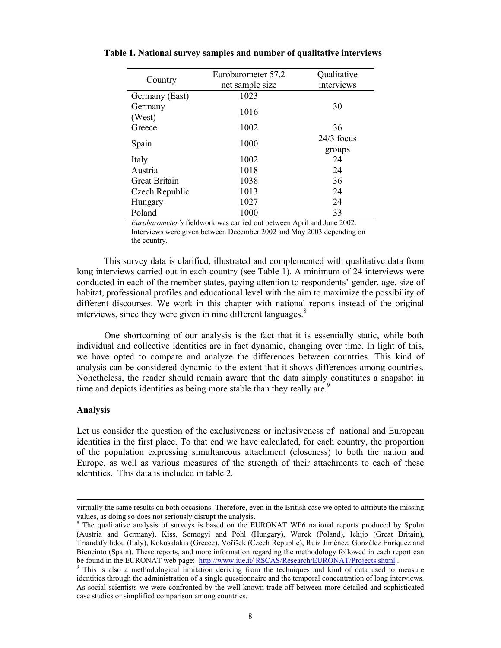| Country              | Eurobarometer 57.2<br>net sample size | Qualitative<br>interviews |
|----------------------|---------------------------------------|---------------------------|
| Germany (East)       | 1023                                  |                           |
| Germany<br>(West)    | 1016                                  | 30                        |
| Greece               | 1002                                  | 36                        |
| Spain                | 1000                                  | $24/3$ focus<br>groups    |
| Italy                | 1002                                  | 24                        |
| Austria              | 1018                                  | 24                        |
| <b>Great Britain</b> | 1038                                  | 36                        |
| Czech Republic       | 1013                                  | 24                        |
| Hungary              | 1027                                  | 24                        |
| Poland               | 1000                                  | 33                        |

**Table 1. National survey samples and number of qualitative interviews** 

*Eurobarometer's* fieldwork was carried out between April and June 2002. Interviews were given between December 2002 and May 2003 depending on the country.

This survey data is clarified, illustrated and complemented with qualitative data from long interviews carried out in each country (see Table 1). A minimum of 24 interviews were conducted in each of the member states, paying attention to respondents' gender, age, size of habitat, professional profiles and educational level with the aim to maximize the possibility of different discourses. We work in this chapter with national reports instead of the original interviews, since they were given in nine different languages. $8$ 

 One shortcoming of our analysis is the fact that it is essentially static, while both individual and collective identities are in fact dynamic, changing over time. In light of this, we have opted to compare and analyze the differences between countries. This kind of analysis can be considered dynamic to the extent that it shows differences among countries. Nonetheless, the reader should remain aware that the data simply constitutes a snapshot in time and depicts identities as being more stable than they really are.<sup>9</sup>

## **Analysis**

-

Let us consider the question of the exclusiveness or inclusiveness of national and European identities in the first place. To that end we have calculated, for each country, the proportion of the population expressing simultaneous attachment (closeness) to both the nation and Europe, as well as various measures of the strength of their attachments to each of these identities. This data is included in table 2.

virtually the same results on both occasions. Therefore, even in the British case we opted to attribute the missing values, as doing so does not seriously disrupt the analysis.

<sup>8</sup> The qualitative analysis of surveys is based on the EURONAT WP6 national reports produced by Spohn (Austria and Germany), Kiss, Somogyi and Pohl (Hungary), Worek (Poland), Ichijo (Great Britain), Triandafyllidou (Italy), Kokosalakis (Greece), Voříšek (Czech Republic), Ruiz Jiménez, González Enríquez and Biencinto (Spain). These reports, and more information regarding the methodology followed in each report can be found in the EURONAT web page: http://www.iue.it/ RSCAS/Research/EURONAT/Projects.shtml.

<sup>&</sup>lt;sup>9</sup> This is also a methodological limitation deriving from the techniques and kind of data used to measure identities through the administration of a single questionnaire and the temporal concentration of long interviews. As social scientists we were confronted by the well-known trade-off between more detailed and sophisticated case studies or simplified comparison among countries.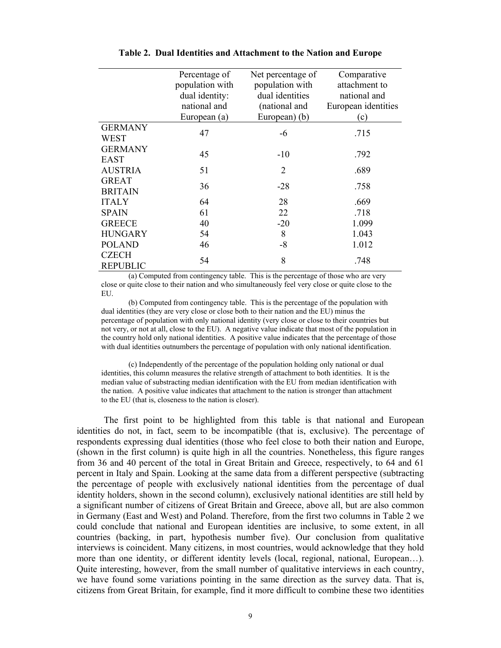|                 | Percentage of   | Net percentage of | Comparative         |
|-----------------|-----------------|-------------------|---------------------|
|                 | population with | population with   | attachment to       |
|                 | dual identity:  | dual identities   | national and        |
|                 | national and    | (national and     | European identities |
|                 | European (a)    | European) (b)     | (c)                 |
| <b>GERMANY</b>  | 47              | -6                | .715                |
| WEST            |                 |                   |                     |
| <b>GERMANY</b>  | 45              | $-10$             | .792                |
| EAST            |                 |                   |                     |
| <b>AUSTRIA</b>  | 51              | $\overline{2}$    | .689                |
| <b>GREAT</b>    | 36              | $-28$             | .758                |
| <b>BRITAIN</b>  |                 |                   |                     |
| <b>ITALY</b>    | 64              | 28                | .669                |
| <b>SPAIN</b>    | 61              | 22                | .718                |
| <b>GREECE</b>   | 40              | $-20$             | 1.099               |
| <b>HUNGARY</b>  | 54              | 8                 | 1.043               |
| <b>POLAND</b>   | 46              | $-8$              | 1.012               |
| <b>CZECH</b>    | 54              | 8                 | .748                |
| <b>REPUBLIC</b> |                 |                   |                     |

#### **Table 2. Dual Identities and Attachment to the Nation and Europe**

(a) Computed from contingency table. This is the percentage of those who are very close or quite close to their nation and who simultaneously feel very close or quite close to the EU.

(b) Computed from contingency table. This is the percentage of the population with dual identities (they are very close or close both to their nation and the EU) minus the percentage of population with only national identity (very close or close to their countries but not very, or not at all, close to the EU). A negative value indicate that most of the population in the country hold only national identities. A positive value indicates that the percentage of those with dual identities outnumbers the percentage of population with only national identification.

(c) Independently of the percentage of the population holding only national or dual identities, this column measures the relative strength of attachment to both identities. It is the median value of substracting median identification with the EU from median identification with the nation. A positive value indicates that attachment to the nation is stronger than attachment to the EU (that is, closeness to the nation is closer).

The first point to be highlighted from this table is that national and European identities do not, in fact, seem to be incompatible (that is, exclusive). The percentage of respondents expressing dual identities (those who feel close to both their nation and Europe, (shown in the first column) is quite high in all the countries. Nonetheless, this figure ranges from 36 and 40 percent of the total in Great Britain and Greece, respectively, to 64 and 61 percent in Italy and Spain. Looking at the same data from a different perspective (subtracting the percentage of people with exclusively national identities from the percentage of dual identity holders, shown in the second column), exclusively national identities are still held by a significant number of citizens of Great Britain and Greece, above all, but are also common in Germany (East and West) and Poland. Therefore, from the first two columns in Table 2 we could conclude that national and European identities are inclusive, to some extent, in all countries (backing, in part, hypothesis number five). Our conclusion from qualitative interviews is coincident. Many citizens, in most countries, would acknowledge that they hold more than one identity, or different identity levels (local, regional, national, European…). Quite interesting, however, from the small number of qualitative interviews in each country, we have found some variations pointing in the same direction as the survey data. That is, citizens from Great Britain, for example, find it more difficult to combine these two identities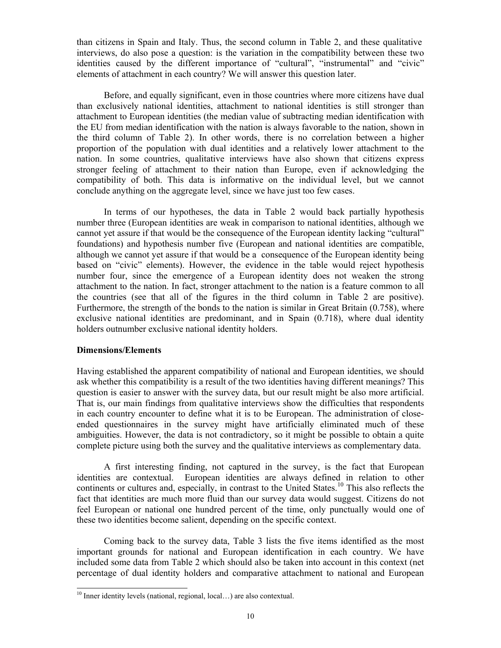than citizens in Spain and Italy. Thus, the second column in Table 2, and these qualitative interviews, do also pose a question: is the variation in the compatibility between these two identities caused by the different importance of "cultural", "instrumental" and "civic" elements of attachment in each country? We will answer this question later.

Before, and equally significant, even in those countries where more citizens have dual than exclusively national identities, attachment to national identities is still stronger than attachment to European identities (the median value of subtracting median identification with the EU from median identification with the nation is always favorable to the nation, shown in the third column of Table 2). In other words, there is no correlation between a higher proportion of the population with dual identities and a relatively lower attachment to the nation. In some countries, qualitative interviews have also shown that citizens express stronger feeling of attachment to their nation than Europe, even if acknowledging the compatibility of both. This data is informative on the individual level, but we cannot conclude anything on the aggregate level, since we have just too few cases.

In terms of our hypotheses, the data in Table 2 would back partially hypothesis number three (European identities are weak in comparison to national identities, although we cannot yet assure if that would be the consequence of the European identity lacking "cultural" foundations) and hypothesis number five (European and national identities are compatible, although we cannot yet assure if that would be a consequence of the European identity being based on "civic" elements). However, the evidence in the table would reject hypothesis number four, since the emergence of a European identity does not weaken the strong attachment to the nation. In fact, stronger attachment to the nation is a feature common to all the countries (see that all of the figures in the third column in Table 2 are positive). Furthermore, the strength of the bonds to the nation is similar in Great Britain (0.758), where exclusive national identities are predominant, and in Spain (0.718), where dual identity holders outnumber exclusive national identity holders.

# **Dimensions/Elements**

-

Having established the apparent compatibility of national and European identities, we should ask whether this compatibility is a result of the two identities having different meanings? This question is easier to answer with the survey data, but our result might be also more artificial. That is, our main findings from qualitative interviews show the difficulties that respondents in each country encounter to define what it is to be European. The administration of closeended questionnaires in the survey might have artificially eliminated much of these ambiguities. However, the data is not contradictory, so it might be possible to obtain a quite complete picture using both the survey and the qualitative interviews as complementary data.

A first interesting finding, not captured in the survey, is the fact that European identities are contextual. European identities are always defined in relation to other continents or cultures and, especially, in contrast to the United States.<sup>10</sup> This also reflects the fact that identities are much more fluid than our survey data would suggest. Citizens do not feel European or national one hundred percent of the time, only punctually would one of these two identities become salient, depending on the specific context.

Coming back to the survey data, Table 3 lists the five items identified as the most important grounds for national and European identification in each country. We have included some data from Table 2 which should also be taken into account in this context (net percentage of dual identity holders and comparative attachment to national and European

<sup>&</sup>lt;sup>10</sup> Inner identity levels (national, regional, local...) are also contextual.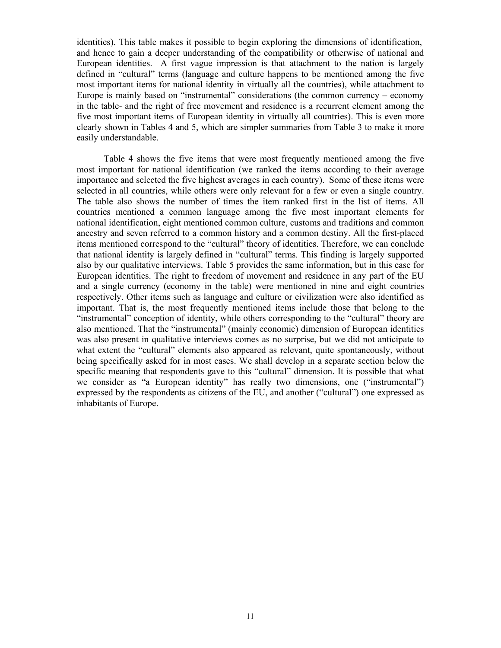identities). This table makes it possible to begin exploring the dimensions of identification, and hence to gain a deeper understanding of the compatibility or otherwise of national and European identities. A first vague impression is that attachment to the nation is largely defined in "cultural" terms (language and culture happens to be mentioned among the five most important items for national identity in virtually all the countries), while attachment to Europe is mainly based on "instrumental" considerations (the common currency – economy in the table- and the right of free movement and residence is a recurrent element among the five most important items of European identity in virtually all countries). This is even more clearly shown in Tables 4 and 5, which are simpler summaries from Table 3 to make it more easily understandable.

Table 4 shows the five items that were most frequently mentioned among the five most important for national identification (we ranked the items according to their average importance and selected the five highest averages in each country). Some of these items were selected in all countries, while others were only relevant for a few or even a single country. The table also shows the number of times the item ranked first in the list of items. All countries mentioned a common language among the five most important elements for national identification, eight mentioned common culture, customs and traditions and common ancestry and seven referred to a common history and a common destiny. All the first-placed items mentioned correspond to the "cultural" theory of identities. Therefore, we can conclude that national identity is largely defined in "cultural" terms. This finding is largely supported also by our qualitative interviews. Table 5 provides the same information, but in this case for European identities. The right to freedom of movement and residence in any part of the EU and a single currency (economy in the table) were mentioned in nine and eight countries respectively. Other items such as language and culture or civilization were also identified as important. That is, the most frequently mentioned items include those that belong to the "instrumental" conception of identity, while others corresponding to the "cultural" theory are also mentioned. That the "instrumental" (mainly economic) dimension of European identities was also present in qualitative interviews comes as no surprise, but we did not anticipate to what extent the "cultural" elements also appeared as relevant, quite spontaneously, without being specifically asked for in most cases. We shall develop in a separate section below the specific meaning that respondents gave to this "cultural" dimension. It is possible that what we consider as "a European identity" has really two dimensions, one ("instrumental") expressed by the respondents as citizens of the EU, and another ("cultural") one expressed as inhabitants of Europe.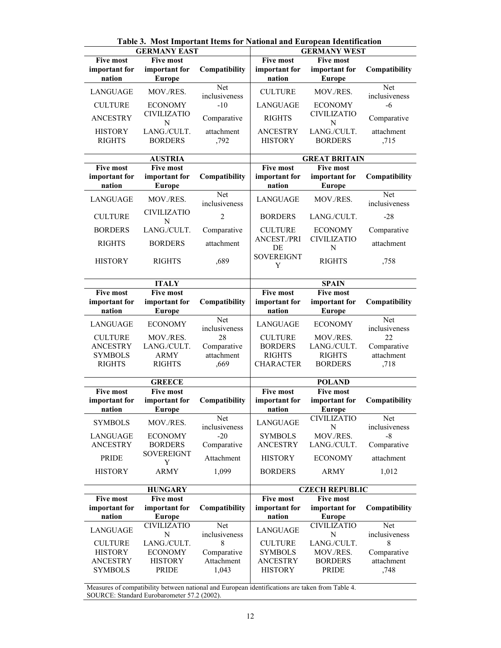|                                             | <b>GERMANY EAST</b>                                |                           |                                             | <b>GERMANY WEST</b>                                |                           |
|---------------------------------------------|----------------------------------------------------|---------------------------|---------------------------------------------|----------------------------------------------------|---------------------------|
| <b>Five most</b><br>important for<br>nation | <b>Five most</b><br>important for<br><b>Europe</b> | Compatibility             | <b>Five most</b><br>important for<br>nation | <b>Five most</b><br>important for<br><b>Europe</b> | Compatibility             |
| LANGUAGE                                    | MOV./RES.                                          | Net                       | <b>CULTURE</b>                              | MOV./RES.                                          | Net                       |
| <b>CULTURE</b>                              | <b>ECONOMY</b>                                     | inclusiveness<br>$-10$    | LANGUAGE                                    | <b>ECONOMY</b>                                     | inclusiveness<br>$-6$     |
| <b>ANCESTRY</b>                             | <b>CIVILIZATIO</b><br>N                            | Comparative               | <b>RIGHTS</b>                               | <b>CIVILIZATIO</b><br>N                            | Comparative               |
| <b>HISTORY</b>                              | LANG./CULT.                                        | attachment                | <b>ANCESTRY</b>                             | LANG./CULT.                                        | attachment                |
| <b>RIGHTS</b>                               | <b>BORDERS</b>                                     | ,792                      | <b>HISTORY</b>                              | <b>BORDERS</b>                                     | ,715                      |
|                                             | <b>AUSTRIA</b>                                     |                           |                                             | <b>GREAT BRITAIN</b>                               |                           |
| <b>Five most</b>                            | <b>Five most</b>                                   |                           | <b>Five most</b>                            | <b>Five most</b>                                   |                           |
| important for<br>nation                     | important for<br><b>Europe</b>                     | Compatibility             | important for<br>nation                     | important for<br><b>Europe</b>                     | Compatibility             |
| LANGUAGE                                    | MOV./RES.                                          | Net<br>inclusiveness      | LANGUAGE                                    | MOV./RES.                                          | Net<br>inclusiveness      |
| <b>CULTURE</b>                              | <b>CIVILIZATIO</b><br>N                            | $\overline{2}$            | <b>BORDERS</b>                              | LANG./CULT.                                        | $-28$                     |
| <b>BORDERS</b>                              | LANG./CULT.                                        | Comparative               | <b>CULTURE</b>                              | <b>ECONOMY</b>                                     | Comparative               |
| <b>RIGHTS</b>                               | <b>BORDERS</b>                                     | attachment                | <b>ANCEST./PRI</b><br>DE                    | <b>CIVILIZATIO</b><br>N                            | attachment                |
| <b>HISTORY</b>                              | <b>RIGHTS</b>                                      | ,689                      | <b>SOVEREIGNT</b><br>Y                      | <b>RIGHTS</b>                                      | ,758                      |
|                                             | <b>ITALY</b>                                       |                           |                                             | <b>SPAIN</b>                                       |                           |
| <b>Five most</b>                            | <b>Five most</b>                                   |                           | <b>Five most</b>                            | <b>Five most</b>                                   |                           |
| important for<br>nation                     | important for<br><b>Europe</b>                     | Compatibility             | important for<br>nation                     | important for<br><b>Europe</b>                     | Compatibility             |
| LANGUAGE                                    | <b>ECONOMY</b>                                     | Net<br>inclusiveness      | LANGUAGE                                    | <b>ECONOMY</b>                                     | Net<br>inclusiveness      |
| <b>CULTURE</b>                              | MOV./RES.                                          | 28                        | <b>CULTURE</b>                              | MOV./RES.                                          | 22                        |
| <b>ANCESTRY</b><br><b>SYMBOLS</b>           | LANG./CULT.<br><b>ARMY</b>                         | Comparative<br>attachment | <b>BORDERS</b><br><b>RIGHTS</b>             | LANG./CULT.<br><b>RIGHTS</b>                       | Comparative<br>attachment |
| <b>RIGHTS</b>                               | <b>RIGHTS</b>                                      | .669                      | <b>CHARACTER</b>                            | <b>BORDERS</b>                                     | ,718                      |
|                                             | <b>GREECE</b>                                      |                           |                                             | <b>POLAND</b>                                      |                           |
| <b>Five most</b>                            | <b>Five most</b>                                   |                           | <b>Five most</b>                            | <b>Five most</b>                                   |                           |
| important for<br>nation                     | important for<br><b>Europe</b>                     | Compatibility             | important for<br>nation                     | important for<br><b>Europe</b>                     | Compatibility             |
| <b>SYMBOLS</b>                              | MOV./RES.                                          | Net<br>inclusiveness      | LANGUAGE                                    | <b>CIVILIZATIO</b><br>N                            | Net<br>inclusiveness      |
| LANGUAGE                                    | <b>ECONOMY</b>                                     | $-20$                     | <b>SYMBOLS</b>                              | MOV./RES.                                          | $-8$                      |
| <b>ANCESTRY</b>                             | <b>BORDERS</b><br>SOVEREIGNT                       | Comparative               | <b>ANCESTRY</b>                             | LANG./CULT.                                        | Comparative               |
| PRIDE                                       | Y                                                  | Attachment                | <b>HISTORY</b>                              | <b>ECONOMY</b>                                     | attachment                |
| <b>HISTORY</b>                              | <b>ARMY</b>                                        | 1,099                     | <b>BORDERS</b>                              | <b>ARMY</b>                                        | 1,012                     |
|                                             | <b>HUNGARY</b>                                     |                           |                                             | <b>CZECH REPUBLIC</b>                              |                           |
| <b>Five most</b>                            | <b>Five most</b>                                   |                           | <b>Five most</b>                            | <b>Five most</b>                                   |                           |
| important for<br>nation                     | important for<br><b>Europe</b>                     | Compatibility             | important for<br>nation                     | important for<br><b>Europe</b>                     | Compatibility             |
| LANGUAGE                                    | <b>CIVILIZATIO</b><br>N                            | Net<br>inclusiveness      | LANGUAGE                                    | <b>CIVILIZATIO</b><br>N                            | Net<br>inclusiveness      |
| <b>CULTURE</b>                              | LANG./CULT.                                        | 8                         | <b>CULTURE</b>                              | LANG./CULT.                                        | 8                         |
| <b>HISTORY</b>                              | <b>ECONOMY</b>                                     | Comparative               | <b>SYMBOLS</b>                              | MOV./RES.                                          | Comparative               |
| <b>ANCESTRY</b>                             | <b>HISTORY</b>                                     | Attachment                | <b>ANCESTRY</b>                             | <b>BORDERS</b>                                     | attachment                |
| <b>SYMBOLS</b>                              | <b>PRIDE</b>                                       | 1,043                     | <b>HISTORY</b>                              | PRIDE                                              | ,748                      |

**Table 3. Most Important Items for National and European Identification** 

Measures of compatibility between national and European identifications are taken from Table 4. SOURCE: Standard Eurobarometer 57.2 (2002).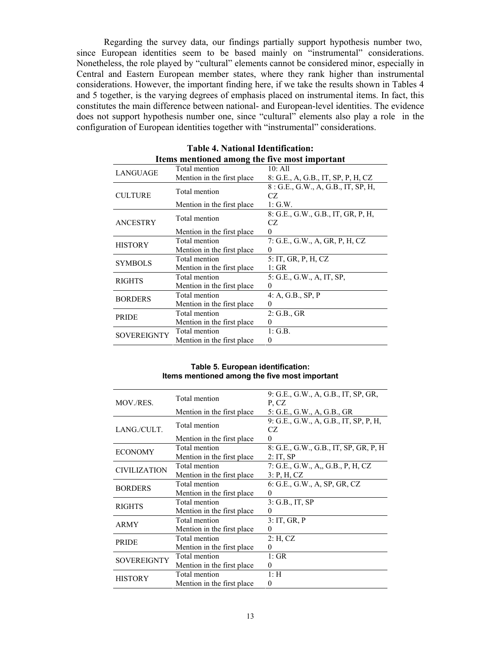Regarding the survey data, our findings partially support hypothesis number two, since European identities seem to be based mainly on "instrumental" considerations. Nonetheless, the role played by "cultural" elements cannot be considered minor, especially in Central and Eastern European member states, where they rank higher than instrumental considerations. However, the important finding here, if we take the results shown in Tables 4 and 5 together, is the varying degrees of emphasis placed on instrumental items. In fact, this constitutes the main difference between national- and European-level identities. The evidence does not support hypothesis number one, since "cultural" elements also play a role in the configuration of European identities together with "instrumental" considerations.

|                | Items mentioned among the five most important |                                     |
|----------------|-----------------------------------------------|-------------------------------------|
| LANGUAGE       | Total mention                                 | 10: All                             |
|                | Mention in the first place.                   | 8: G.E., A, G.B., IT, SP, P, H, CZ  |
|                | Total mention                                 | 8 : G.E., G.W., A, G.B., IT, SP, H, |
| <b>CULTURE</b> |                                               | CZ.                                 |
|                | Mention in the first place.                   | $1:$ G.W.                           |
|                | Total mention                                 | 8: G.E., G.W., G.B., IT, GR, P, H,  |
| ANCESTRY       |                                               | CZ.                                 |
|                | Mention in the first place.                   | 0                                   |
| <b>HISTORY</b> | Total mention                                 | 7: G.E., G.W., A, GR, P, H, CZ      |
|                | Mention in the first place.                   | 0                                   |
| <b>SYMBOLS</b> | Total mention                                 | 5: IT, GR, P, H, CZ                 |
|                | Mention in the first place.                   | 1:GR                                |
| <b>RIGHTS</b>  | Total mention                                 | 5: G.E., G.W., A, IT, SP,           |
|                | Mention in the first place.                   | 0                                   |
| <b>BORDERS</b> | Total mention                                 | 4: A, G.B., SP, P                   |
|                | Mention in the first place                    | $\Omega$                            |
| <b>PRIDE</b>   | Total mention                                 | 2: G.B., GR                         |
|                | Mention in the first place.                   | $\theta$                            |
| SOVEREIGNTY    | Total mention                                 | $1:$ G.B.                           |
|                | Mention in the first place.                   | 0                                   |

| <b>Table 4. National Identification:</b>      |  |  |
|-----------------------------------------------|--|--|
| Items mentioned among the five most imnortant |  |  |

#### **Table 5. European identification: Items mentioned among the five most important**

| MOV./RES.           | Total mention               | 9: G.E., G.W., A, G.B., IT, SP, GR,<br>P.CZ |
|---------------------|-----------------------------|---------------------------------------------|
|                     | Mention in the first place. | 5: G.E., G.W., A, G.B., GR                  |
| LANG./CULT.         | Total mention               | 9: G.E., G.W., A, G.B., IT, SP, P, H,<br>CZ |
|                     | Mention in the first place. | 0                                           |
|                     | Total mention               | 8: G.E., G.W., G.B., IT, SP, GR, P, H       |
| <b>ECONOMY</b>      | Mention in the first place. | 2:IT,SP                                     |
| <b>CIVILIZATION</b> | Total mention               | 7: G.E., G.W., A., G.B., P. H. CZ           |
|                     | Mention in the first place. | 3: P, H, CZ                                 |
| <b>BORDERS</b>      | Total mention               | 6: G.E., G.W., A, SP, GR, CZ                |
|                     | Mention in the first place. | 0                                           |
| <b>RIGHTS</b>       | Total mention               | $3:$ G.B., IT, SP                           |
|                     | Mention in the first place  | 0                                           |
| <b>ARMY</b>         | Total mention               | 3:IT, GR, P                                 |
|                     | Mention in the first place. | 0                                           |
| <b>PRIDE</b>        | Total mention               | $2:$ H, CZ                                  |
|                     | Mention in the first place. | $_{0}$                                      |
| <b>SOVEREIGNTY</b>  | Total mention               | 1:GR                                        |
|                     | Mention in the first place. | $\theta$                                    |
| <b>HISTORY</b>      | Total mention               | 1: H                                        |
|                     | Mention in the first place. | 0                                           |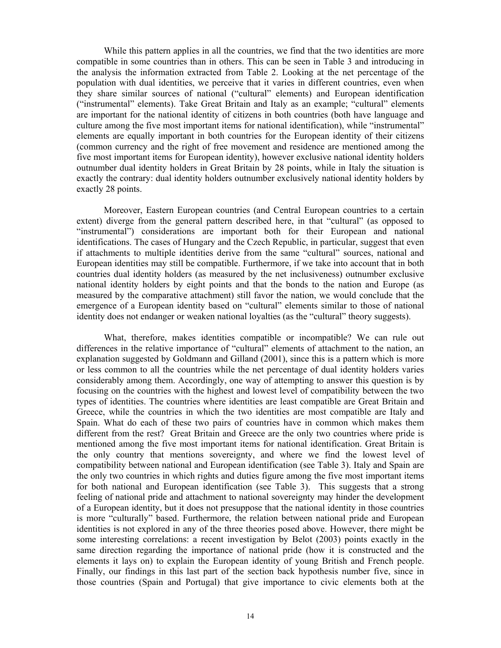While this pattern applies in all the countries, we find that the two identities are more compatible in some countries than in others. This can be seen in Table 3 and introducing in the analysis the information extracted from Table 2. Looking at the net percentage of the population with dual identities, we perceive that it varies in different countries, even when they share similar sources of national ("cultural" elements) and European identification ("instrumental" elements). Take Great Britain and Italy as an example; "cultural" elements are important for the national identity of citizens in both countries (both have language and culture among the five most important items for national identification), while "instrumental" elements are equally important in both countries for the European identity of their citizens (common currency and the right of free movement and residence are mentioned among the five most important items for European identity), however exclusive national identity holders outnumber dual identity holders in Great Britain by 28 points, while in Italy the situation is exactly the contrary: dual identity holders outnumber exclusively national identity holders by exactly 28 points.

Moreover, Eastern European countries (and Central European countries to a certain extent) diverge from the general pattern described here, in that "cultural" (as opposed to "instrumental") considerations are important both for their European and national identifications. The cases of Hungary and the Czech Republic, in particular, suggest that even if attachments to multiple identities derive from the same "cultural" sources, national and European identities may still be compatible. Furthermore, if we take into account that in both countries dual identity holders (as measured by the net inclusiveness) outnumber exclusive national identity holders by eight points and that the bonds to the nation and Europe (as measured by the comparative attachment) still favor the nation, we would conclude that the emergence of a European identity based on "cultural" elements similar to those of national identity does not endanger or weaken national loyalties (as the "cultural" theory suggests).

What, therefore, makes identities compatible or incompatible? We can rule out differences in the relative importance of "cultural" elements of attachment to the nation, an explanation suggested by Goldmann and Gilland (2001), since this is a pattern which is more or less common to all the countries while the net percentage of dual identity holders varies considerably among them. Accordingly, one way of attempting to answer this question is by focusing on the countries with the highest and lowest level of compatibility between the two types of identities. The countries where identities are least compatible are Great Britain and Greece, while the countries in which the two identities are most compatible are Italy and Spain. What do each of these two pairs of countries have in common which makes them different from the rest? Great Britain and Greece are the only two countries where pride is mentioned among the five most important items for national identification. Great Britain is the only country that mentions sovereignty, and where we find the lowest level of compatibility between national and European identification (see Table 3). Italy and Spain are the only two countries in which rights and duties figure among the five most important items for both national and European identification (see Table 3). This suggests that a strong feeling of national pride and attachment to national sovereignty may hinder the development of a European identity, but it does not presuppose that the national identity in those countries is more "culturally" based. Furthermore, the relation between national pride and European identities is not explored in any of the three theories posed above. However, there might be some interesting correlations: a recent investigation by Belot (2003) points exactly in the same direction regarding the importance of national pride (how it is constructed and the elements it lays on) to explain the European identity of young British and French people. Finally, our findings in this last part of the section back hypothesis number five, since in those countries (Spain and Portugal) that give importance to civic elements both at the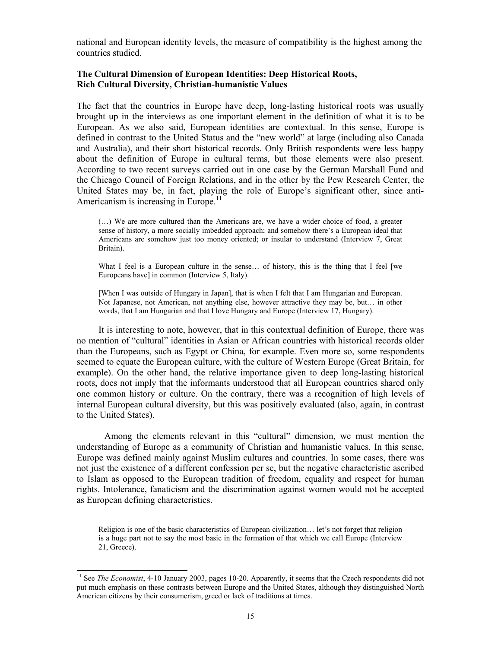national and European identity levels, the measure of compatibility is the highest among the countries studied.

# **The Cultural Dimension of European Identities: Deep Historical Roots, Rich Cultural Diversity, Christian-humanistic Values**

The fact that the countries in Europe have deep, long-lasting historical roots was usually brought up in the interviews as one important element in the definition of what it is to be European. As we also said, European identities are contextual. In this sense, Europe is defined in contrast to the United Status and the "new world" at large (including also Canada and Australia), and their short historical records. Only British respondents were less happy about the definition of Europe in cultural terms, but those elements were also present. According to two recent surveys carried out in one case by the German Marshall Fund and the Chicago Council of Foreign Relations, and in the other by the Pew Research Center, the United States may be, in fact, playing the role of Europe's significant other, since anti-Americanism is increasing in Europe.<sup>11</sup>

(…) We are more cultured than the Americans are, we have a wider choice of food, a greater sense of history, a more socially imbedded approach; and somehow there's a European ideal that Americans are somehow just too money oriented; or insular to understand (Interview 7, Great Britain).

What I feel is a European culture in the sense... of history, this is the thing that I feel [we Europeans have] in common (Interview 5, Italy).

[When I was outside of Hungary in Japan], that is when I felt that I am Hungarian and European. Not Japanese, not American, not anything else, however attractive they may be, but… in other words, that I am Hungarian and that I love Hungary and Europe (Interview 17, Hungary).

It is interesting to note, however, that in this contextual definition of Europe, there was no mention of "cultural" identities in Asian or African countries with historical records older than the Europeans, such as Egypt or China, for example. Even more so, some respondents seemed to equate the European culture, with the culture of Western Europe (Great Britain, for example). On the other hand, the relative importance given to deep long-lasting historical roots, does not imply that the informants understood that all European countries shared only one common history or culture. On the contrary, there was a recognition of high levels of internal European cultural diversity, but this was positively evaluated (also, again, in contrast to the United States).

 Among the elements relevant in this "cultural" dimension, we must mention the understanding of Europe as a community of Christian and humanistic values. In this sense, Europe was defined mainly against Muslim cultures and countries. In some cases, there was not just the existence of a different confession per se, but the negative characteristic ascribed to Islam as opposed to the European tradition of freedom, equality and respect for human rights. Intolerance, fanaticism and the discrimination against women would not be accepted as European defining characteristics.

Religion is one of the basic characteristics of European civilization… let's not forget that religion is a huge part not to say the most basic in the formation of that which we call Europe (Interview 21, Greece).

-

<sup>&</sup>lt;sup>11</sup> See *The Economist*, 4-10 January 2003, pages 10-20. Apparently, it seems that the Czech respondents did not put much emphasis on these contrasts between Europe and the United States, although they distinguished North American citizens by their consumerism, greed or lack of traditions at times.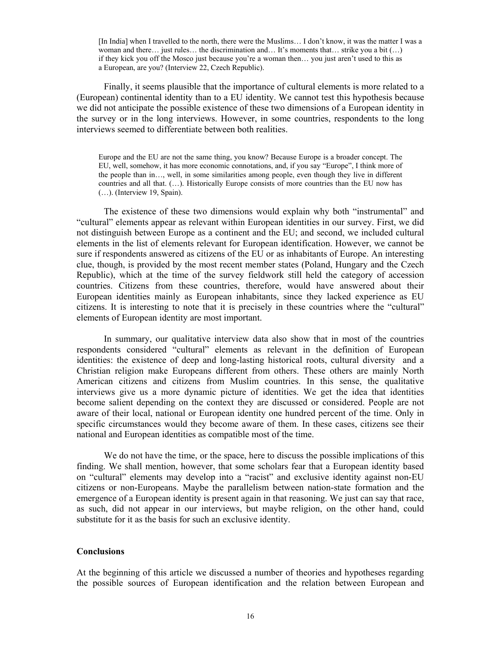[In India] when I travelled to the north, there were the Muslims… I don't know, it was the matter I was a woman and there… just rules… the discrimination and… It's moments that… strike you a bit (…) if they kick you off the Mosco just because you're a woman then… you just aren't used to this as a European, are you? (Interview 22, Czech Republic).

Finally, it seems plausible that the importance of cultural elements is more related to a (European) continental identity than to a EU identity. We cannot test this hypothesis because we did not anticipate the possible existence of these two dimensions of a European identity in the survey or in the long interviews. However, in some countries, respondents to the long interviews seemed to differentiate between both realities.

Europe and the EU are not the same thing, you know? Because Europe is a broader concept. The EU, well, somehow, it has more economic connotations, and, if you say "Europe", I think more of the people than in…, well, in some similarities among people, even though they live in different countries and all that. (…). Historically Europe consists of more countries than the EU now has (…). (Interview 19, Spain).

The existence of these two dimensions would explain why both "instrumental" and "cultural" elements appear as relevant within European identities in our survey. First, we did not distinguish between Europe as a continent and the EU; and second, we included cultural elements in the list of elements relevant for European identification. However, we cannot be sure if respondents answered as citizens of the EU or as inhabitants of Europe. An interesting clue, though, is provided by the most recent member states (Poland, Hungary and the Czech Republic), which at the time of the survey fieldwork still held the category of accession countries. Citizens from these countries, therefore, would have answered about their European identities mainly as European inhabitants, since they lacked experience as EU citizens. It is interesting to note that it is precisely in these countries where the "cultural" elements of European identity are most important.

In summary, our qualitative interview data also show that in most of the countries respondents considered "cultural" elements as relevant in the definition of European identities: the existence of deep and long-lasting historical roots, cultural diversity and a Christian religion make Europeans different from others. These others are mainly North American citizens and citizens from Muslim countries. In this sense, the qualitative interviews give us a more dynamic picture of identities. We get the idea that identities become salient depending on the context they are discussed or considered. People are not aware of their local, national or European identity one hundred percent of the time. Only in specific circumstances would they become aware of them. In these cases, citizens see their national and European identities as compatible most of the time.

We do not have the time, or the space, here to discuss the possible implications of this finding. We shall mention, however, that some scholars fear that a European identity based on "cultural" elements may develop into a "racist" and exclusive identity against non-EU citizens or non-Europeans. Maybe the parallelism between nation-state formation and the emergence of a European identity is present again in that reasoning. We just can say that race, as such, did not appear in our interviews, but maybe religion, on the other hand, could substitute for it as the basis for such an exclusive identity.

#### **Conclusions**

At the beginning of this article we discussed a number of theories and hypotheses regarding the possible sources of European identification and the relation between European and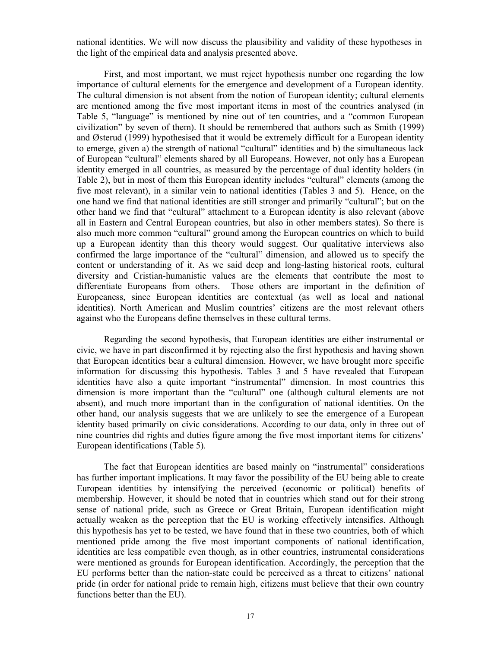national identities. We will now discuss the plausibility and validity of these hypotheses in the light of the empirical data and analysis presented above.

First, and most important, we must reject hypothesis number one regarding the low importance of cultural elements for the emergence and development of a European identity. The cultural dimension is not absent from the notion of European identity; cultural elements are mentioned among the five most important items in most of the countries analysed (in Table 5, "language" is mentioned by nine out of ten countries, and a "common European civilization" by seven of them). It should be remembered that authors such as Smith (1999) and Østerud (1999) hypothesised that it would be extremely difficult for a European identity to emerge, given a) the strength of national "cultural" identities and b) the simultaneous lack of European "cultural" elements shared by all Europeans. However, not only has a European identity emerged in all countries, as measured by the percentage of dual identity holders (in Table 2), but in most of them this European identity includes "cultural" elements (among the five most relevant), in a similar vein to national identities (Tables 3 and 5). Hence, on the one hand we find that national identities are still stronger and primarily "cultural"; but on the other hand we find that "cultural" attachment to a European identity is also relevant (above all in Eastern and Central European countries, but also in other members states). So there is also much more common "cultural" ground among the European countries on which to build up a European identity than this theory would suggest. Our qualitative interviews also confirmed the large importance of the "cultural" dimension, and allowed us to specify the content or understanding of it. As we said deep and long-lasting historical roots, cultural diversity and Cristian-humanistic values are the elements that contribute the most to differentiate Europeans from others. Those others are important in the definition of Europeaness, since European identities are contextual (as well as local and national identities). North American and Muslim countries' citizens are the most relevant others against who the Europeans define themselves in these cultural terms.

Regarding the second hypothesis, that European identities are either instrumental or civic, we have in part disconfirmed it by rejecting also the first hypothesis and having shown that European identities bear a cultural dimension. However, we have brought more specific information for discussing this hypothesis. Tables 3 and 5 have revealed that European identities have also a quite important "instrumental" dimension. In most countries this dimension is more important than the "cultural" one (although cultural elements are not absent), and much more important than in the configuration of national identities. On the other hand, our analysis suggests that we are unlikely to see the emergence of a European identity based primarily on civic considerations. According to our data, only in three out of nine countries did rights and duties figure among the five most important items for citizens' European identifications (Table 5).

The fact that European identities are based mainly on "instrumental" considerations has further important implications. It may favor the possibility of the EU being able to create European identities by intensifying the perceived (economic or political) benefits of membership. However, it should be noted that in countries which stand out for their strong sense of national pride, such as Greece or Great Britain, European identification might actually weaken as the perception that the EU is working effectively intensifies. Although this hypothesis has yet to be tested, we have found that in these two countries, both of which mentioned pride among the five most important components of national identification, identities are less compatible even though, as in other countries, instrumental considerations were mentioned as grounds for European identification. Accordingly, the perception that the EU performs better than the nation-state could be perceived as a threat to citizens' national pride (in order for national pride to remain high, citizens must believe that their own country functions better than the EU).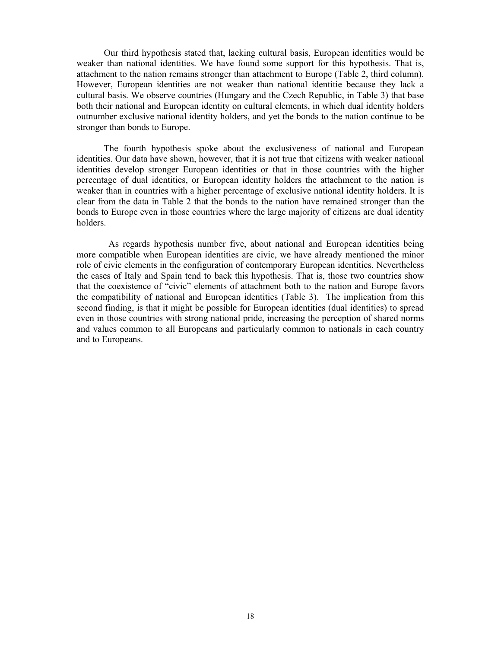Our third hypothesis stated that, lacking cultural basis, European identities would be weaker than national identities. We have found some support for this hypothesis. That is, attachment to the nation remains stronger than attachment to Europe (Table 2, third column). However, European identities are not weaker than national identitie because they lack a cultural basis. We observe countries (Hungary and the Czech Republic, in Table 3) that base both their national and European identity on cultural elements, in which dual identity holders outnumber exclusive national identity holders, and yet the bonds to the nation continue to be stronger than bonds to Europe.

The fourth hypothesis spoke about the exclusiveness of national and European identities. Our data have shown, however, that it is not true that citizens with weaker national identities develop stronger European identities or that in those countries with the higher percentage of dual identities, or European identity holders the attachment to the nation is weaker than in countries with a higher percentage of exclusive national identity holders. It is clear from the data in Table 2 that the bonds to the nation have remained stronger than the bonds to Europe even in those countries where the large majority of citizens are dual identity holders.

 As regards hypothesis number five, about national and European identities being more compatible when European identities are civic, we have already mentioned the minor role of civic elements in the configuration of contemporary European identities. Nevertheless the cases of Italy and Spain tend to back this hypothesis. That is, those two countries show that the coexistence of "civic" elements of attachment both to the nation and Europe favors the compatibility of national and European identities (Table 3). The implication from this second finding, is that it might be possible for European identities (dual identities) to spread even in those countries with strong national pride, increasing the perception of shared norms and values common to all Europeans and particularly common to nationals in each country and to Europeans.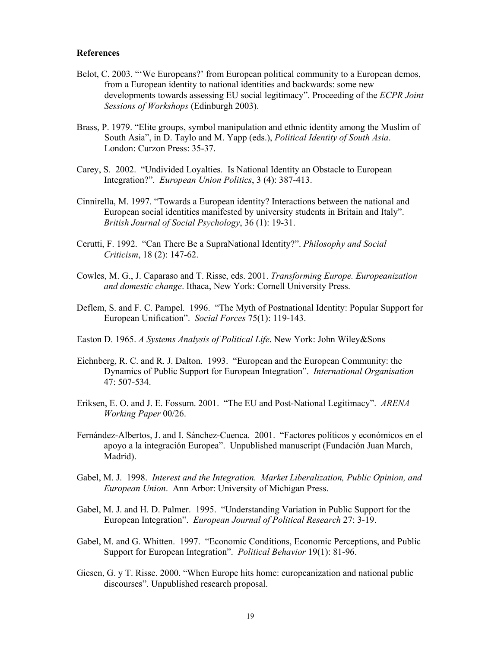## **References**

- Belot, C. 2003. ""We Europeans?' from European political community to a European demos, from a European identity to national identities and backwards: some new developments towards assessing EU social legitimacy". Proceeding of the *ECPR Joint Sessions of Workshops* (Edinburgh 2003).
- Brass, P. 1979. "Elite groups, symbol manipulation and ethnic identity among the Muslim of South Asia", in D. Taylo and M. Yapp (eds.), *Political Identity of South Asia*. London: Curzon Press: 35-37.
- Carey, S. 2002. "Undivided Loyalties. Is National Identity an Obstacle to European Integration?". *European Union Politics*, 3 (4): 387-413.
- Cinnirella, M. 1997. "Towards a European identity? Interactions between the national and European social identities manifested by university students in Britain and Italy". *British Journal of Social Psychology*, 36 (1): 19-31.
- Cerutti, F. 1992. "Can There Be a SupraNational Identity?". *Philosophy and Social Criticism*, 18 (2): 147-62.
- Cowles, M. G., J. Caparaso and T. Risse, eds. 2001. *Transforming Europe. Europeanization and domestic change*. Ithaca, New York: Cornell University Press.
- Deflem, S. and F. C. Pampel. 1996. "The Myth of Postnational Identity: Popular Support for European Unification". *Social Forces* 75(1): 119-143.
- Easton D. 1965. *A Systems Analysis of Political Life*. New York: John Wiley&Sons
- Eichnberg, R. C. and R. J. Dalton. 1993. "European and the European Community: the Dynamics of Public Support for European Integration". *International Organisation* 47: 507-534.
- Eriksen, E. O. and J. E. Fossum. 2001. "The EU and Post-National Legitimacy". *ARENA Working Paper* 00/26.
- Fernández-Albertos, J. and I. Sánchez-Cuenca. 2001. "Factores políticos y económicos en el apoyo a la integración Europea". Unpublished manuscript (Fundación Juan March, Madrid).
- Gabel, M. J. 1998. *Interest and the Integration. Market Liberalization, Public Opinion, and European Union*. Ann Arbor: University of Michigan Press.
- Gabel, M. J. and H. D. Palmer. 1995. "Understanding Variation in Public Support for the European Integration". *European Journal of Political Research* 27: 3-19.
- Gabel, M. and G. Whitten. 1997. "Economic Conditions, Economic Perceptions, and Public Support for European Integration". *Political Behavior* 19(1): 81-96.
- Giesen, G. y T. Risse. 2000. "When Europe hits home: europeanization and national public discourses". Unpublished research proposal.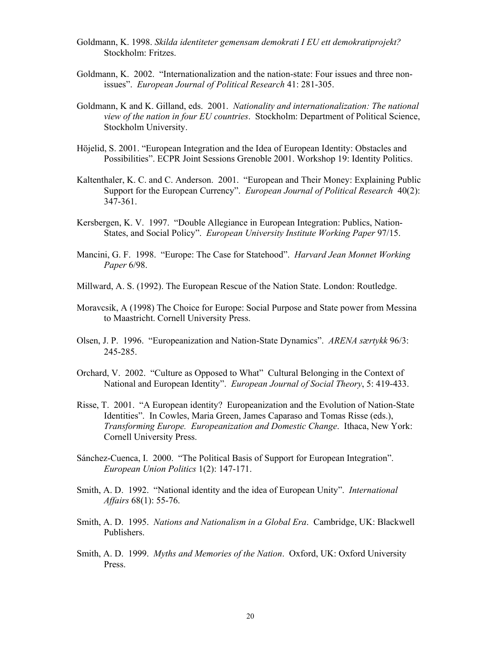- Goldmann, K. 1998. *Skilda identiteter gemensam demokrati I EU ett demokratiprojekt?* Stockholm: Fritzes.
- Goldmann, K. 2002. "Internationalization and the nation-state: Four issues and three nonissues". *European Journal of Political Research* 41: 281-305.
- Goldmann, K and K. Gilland, eds. 2001. *Nationality and internationalization: The national view of the nation in four EU countries*. Stockholm: Department of Political Science, Stockholm University.
- Höjelid, S. 2001. "European Integration and the Idea of European Identity: Obstacles and Possibilities". ECPR Joint Sessions Grenoble 2001. Workshop 19: Identity Politics.
- Kaltenthaler, K. C. and C. Anderson. 2001. "European and Their Money: Explaining Public Support for the European Currency". *European Journal of Political Research* 40(2): 347-361.
- Kersbergen, K. V. 1997. "Double Allegiance in European Integration: Publics, Nation-States, and Social Policy". *European University Institute Working Paper* 97/15.
- Mancini, G. F. 1998. "Europe: The Case for Statehood". *Harvard Jean Monnet Working Paper* 6/98.
- Millward, A. S. (1992). The European Rescue of the Nation State. London: Routledge.
- Moravcsik, A (1998) The Choice for Europe: Social Purpose and State power from Messina to Maastricht. Cornell University Press.
- Olsen, J. P. 1996. "Europeanization and Nation-State Dynamics". *ARENA særtykk* 96/3: 245-285.
- Orchard, V. 2002. "Culture as Opposed to What" Cultural Belonging in the Context of National and European Identity". *European Journal of Social Theory*, 5: 419-433.
- Risse, T. 2001. "A European identity? Europeanization and the Evolution of Nation-State Identities". In Cowles, Maria Green, James Caparaso and Tomas Risse (eds.), *Transforming Europe. Europeanization and Domestic Change*. Ithaca, New York: Cornell University Press.
- Sánchez-Cuenca, I. 2000. "The Political Basis of Support for European Integration". *European Union Politics* 1(2): 147-171.
- Smith, A. D. 1992. "National identity and the idea of European Unity". *International Affairs* 68(1): 55-76.
- Smith, A. D. 1995. *Nations and Nationalism in a Global Era*. Cambridge, UK: Blackwell Publishers.
- Smith, A. D. 1999. *Myths and Memories of the Nation*. Oxford, UK: Oxford University Press.